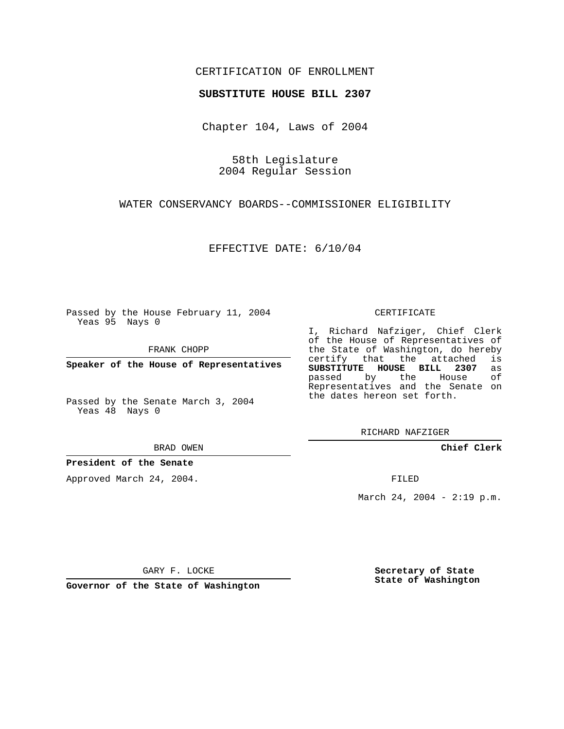## CERTIFICATION OF ENROLLMENT

#### **SUBSTITUTE HOUSE BILL 2307**

Chapter 104, Laws of 2004

58th Legislature 2004 Regular Session

WATER CONSERVANCY BOARDS--COMMISSIONER ELIGIBILITY

EFFECTIVE DATE: 6/10/04

Passed by the House February 11, 2004 Yeas 95 Nays 0

FRANK CHOPP

**Speaker of the House of Representatives**

Passed by the Senate March 3, 2004 Yeas 48 Nays 0

BRAD OWEN

### **President of the Senate**

Approved March 24, 2004.

CERTIFICATE

I, Richard Nafziger, Chief Clerk of the House of Representatives of the State of Washington, do hereby<br>certify that the attached is certify that the attached **SUBSTITUTE HOUSE BILL 2307** as passed by the House of Representatives and the Senate on the dates hereon set forth.

RICHARD NAFZIGER

**Chief Clerk**

FILED

March 24, 2004 - 2:19 p.m.

GARY F. LOCKE

**Governor of the State of Washington**

**Secretary of State State of Washington**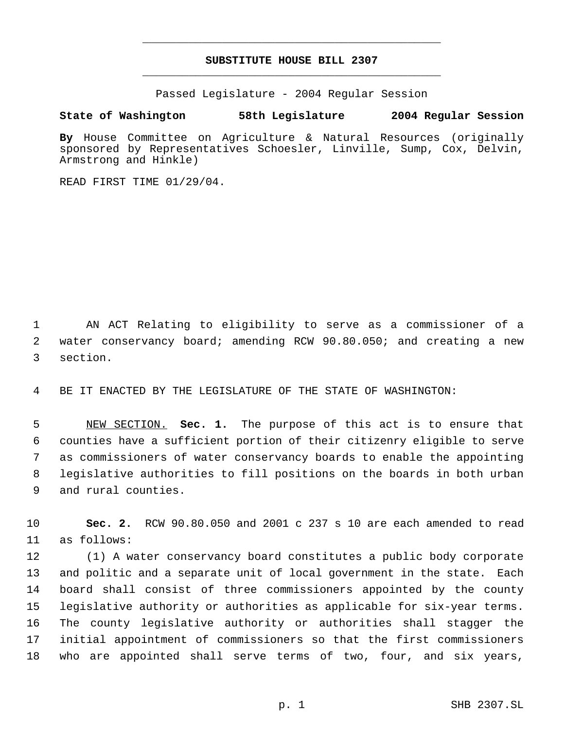# **SUBSTITUTE HOUSE BILL 2307** \_\_\_\_\_\_\_\_\_\_\_\_\_\_\_\_\_\_\_\_\_\_\_\_\_\_\_\_\_\_\_\_\_\_\_\_\_\_\_\_\_\_\_\_\_

\_\_\_\_\_\_\_\_\_\_\_\_\_\_\_\_\_\_\_\_\_\_\_\_\_\_\_\_\_\_\_\_\_\_\_\_\_\_\_\_\_\_\_\_\_

Passed Legislature - 2004 Regular Session

#### **State of Washington 58th Legislature 2004 Regular Session**

**By** House Committee on Agriculture & Natural Resources (originally sponsored by Representatives Schoesler, Linville, Sump, Cox, Delvin, Armstrong and Hinkle)

READ FIRST TIME 01/29/04.

 AN ACT Relating to eligibility to serve as a commissioner of a water conservancy board; amending RCW 90.80.050; and creating a new section.

BE IT ENACTED BY THE LEGISLATURE OF THE STATE OF WASHINGTON:

 NEW SECTION. **Sec. 1.** The purpose of this act is to ensure that counties have a sufficient portion of their citizenry eligible to serve as commissioners of water conservancy boards to enable the appointing legislative authorities to fill positions on the boards in both urban and rural counties.

 **Sec. 2.** RCW 90.80.050 and 2001 c 237 s 10 are each amended to read as follows:

 (1) A water conservancy board constitutes a public body corporate and politic and a separate unit of local government in the state. Each board shall consist of three commissioners appointed by the county legislative authority or authorities as applicable for six-year terms. The county legislative authority or authorities shall stagger the initial appointment of commissioners so that the first commissioners who are appointed shall serve terms of two, four, and six years,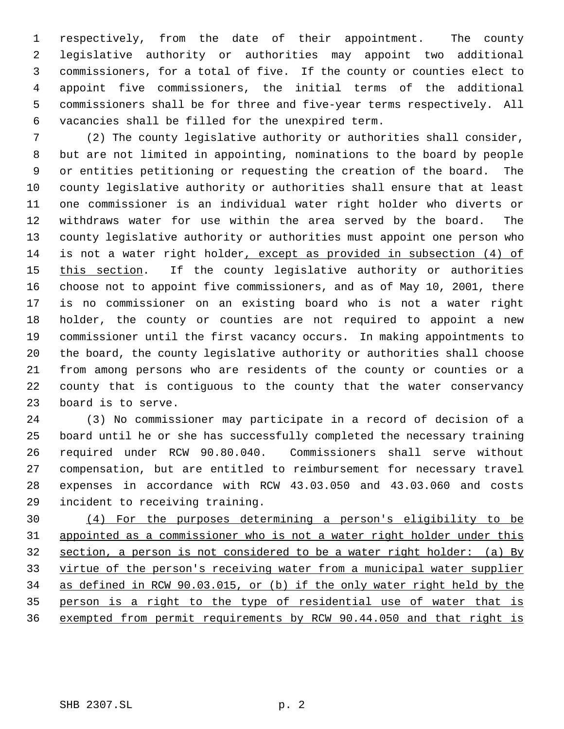respectively, from the date of their appointment. The county legislative authority or authorities may appoint two additional commissioners, for a total of five. If the county or counties elect to appoint five commissioners, the initial terms of the additional commissioners shall be for three and five-year terms respectively. All vacancies shall be filled for the unexpired term.

 (2) The county legislative authority or authorities shall consider, but are not limited in appointing, nominations to the board by people or entities petitioning or requesting the creation of the board. The county legislative authority or authorities shall ensure that at least one commissioner is an individual water right holder who diverts or withdraws water for use within the area served by the board. The county legislative authority or authorities must appoint one person who is not a water right holder, except as provided in subsection (4) of 15 this section. If the county legislative authority or authorities choose not to appoint five commissioners, and as of May 10, 2001, there is no commissioner on an existing board who is not a water right holder, the county or counties are not required to appoint a new commissioner until the first vacancy occurs. In making appointments to the board, the county legislative authority or authorities shall choose from among persons who are residents of the county or counties or a county that is contiguous to the county that the water conservancy board is to serve.

 (3) No commissioner may participate in a record of decision of a board until he or she has successfully completed the necessary training required under RCW 90.80.040. Commissioners shall serve without compensation, but are entitled to reimbursement for necessary travel expenses in accordance with RCW 43.03.050 and 43.03.060 and costs incident to receiving training.

 (4) For the purposes determining a person's eligibility to be appointed as a commissioner who is not a water right holder under this section, a person is not considered to be a water right holder: (a) By virtue of the person's receiving water from a municipal water supplier as defined in RCW 90.03.015, or (b) if the only water right held by the person is a right to the type of residential use of water that is exempted from permit requirements by RCW 90.44.050 and that right is